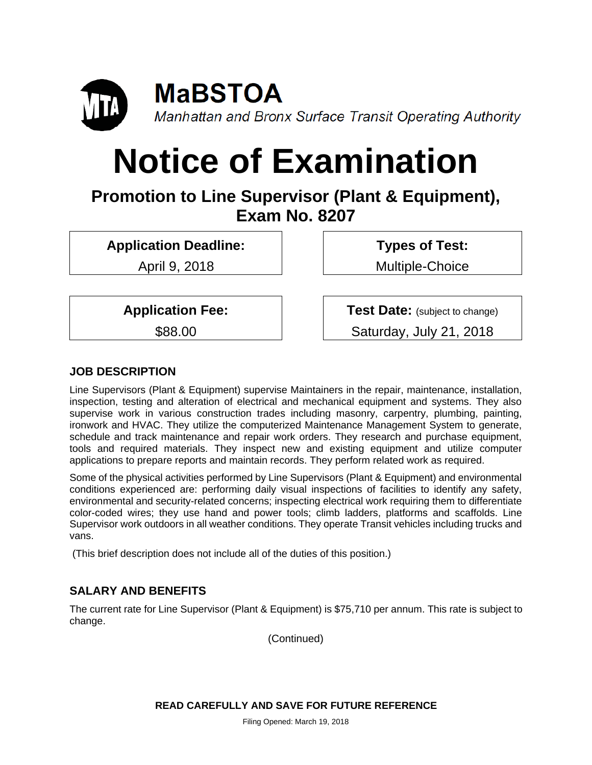

# **Notice of Examination**

**Promotion to Line Supervisor (Plant & Equipment), Exam No. 8207**

**Application Deadline:**

April 9, 2018

**Types of Test:**  Multiple-Choice

**Application Fee:**

\$88.00

**Test Date:** (subject to change) Saturday, July 21, 2018

# **JOB DESCRIPTION**

Line Supervisors (Plant & Equipment) supervise Maintainers in the repair, maintenance, installation, inspection, testing and alteration of electrical and mechanical equipment and systems. They also supervise work in various construction trades including masonry, carpentry, plumbing, painting, ironwork and HVAC. They utilize the computerized Maintenance Management System to generate, schedule and track maintenance and repair work orders. They research and purchase equipment, tools and required materials. They inspect new and existing equipment and utilize computer applications to prepare reports and maintain records. They perform related work as required.

Some of the physical activities performed by Line Supervisors (Plant & Equipment) and environmental conditions experienced are: performing daily visual inspections of facilities to identify any safety, environmental and security-related concerns; inspecting electrical work requiring them to differentiate color-coded wires; they use hand and power tools; climb ladders, platforms and scaffolds. Line Supervisor work outdoors in all weather conditions. They operate Transit vehicles including trucks and vans.

(This brief description does not include all of the duties of this position.)

# **SALARY AND BENEFITS**

The current rate for Line Supervisor (Plant & Equipment) is \$75,710 per annum. This rate is subject to change.

(Continued)

**READ CAREFULLY AND SAVE FOR FUTURE REFERENCE**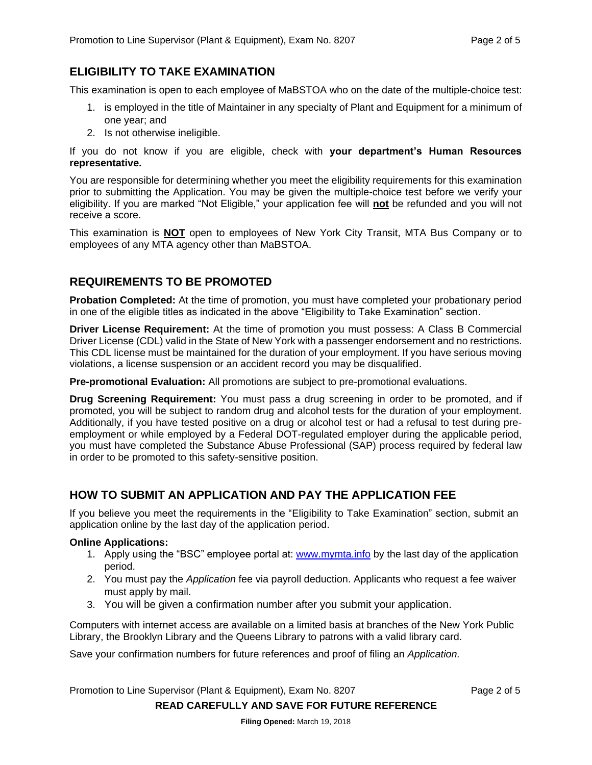#### **ELIGIBILITY TO TAKE EXAMINATION**

This examination is open to each employee of MaBSTOA who on the date of the multiple-choice test:

- 1. is employed in the title of Maintainer in any specialty of Plant and Equipment for a minimum of one year; and
- 2. Is not otherwise ineligible.

If you do not know if you are eligible, check with **your department's Human Resources representative.** 

You are responsible for determining whether you meet the eligibility requirements for this examination prior to submitting the Application. You may be given the multiple-choice test before we verify your eligibility. If you are marked "Not Eligible," your application fee will **not** be refunded and you will not receive a score.

This examination is **NOT** open to employees of New York City Transit, MTA Bus Company or to employees of any MTA agency other than MaBSTOA.

### **REQUIREMENTS TO BE PROMOTED**

**Probation Completed:** At the time of promotion, you must have completed your probationary period in one of the eligible titles as indicated in the above "Eligibility to Take Examination" section.

**Driver License Requirement:** At the time of promotion you must possess: A Class B Commercial Driver License (CDL) valid in the State of New York with a passenger endorsement and no restrictions. This CDL license must be maintained for the duration of your employment. If you have serious moving violations, a license suspension or an accident record you may be disqualified.

**Pre-promotional Evaluation:** All promotions are subject to pre-promotional evaluations.

**Drug Screening Requirement:** You must pass a drug screening in order to be promoted, and if promoted, you will be subject to random drug and alcohol tests for the duration of your employment. Additionally, if you have tested positive on a drug or alcohol test or had a refusal to test during preemployment or while employed by a Federal DOT-regulated employer during the applicable period, you must have completed the Substance Abuse Professional (SAP) process required by federal law in order to be promoted to this safety-sensitive position.

### **HOW TO SUBMIT AN APPLICATION AND PAY THE APPLICATION FEE**

If you believe you meet the requirements in the "Eligibility to Take Examination" section, submit an application online by the last day of the application period.

#### **Online Applications:**

- 1. Apply using the "BSC" employee portal at: [www.mymta.info](http://www.mymta.info/) by the last day of the application period.
- 2. You must pay the *Application* fee via payroll deduction. Applicants who request a fee waiver must apply by mail.
- 3. You will be given a confirmation number after you submit your application.

Computers with internet access are available on a limited basis at branches of the New York Public Library, the Brooklyn Library and the Queens Library to patrons with a valid library card.

Save your confirmation numbers for future references and proof of filing an *Application.*

Promotion to Line Supervisor (Plant & Equipment), Exam No. 8207 Page 2 of 5

**READ CAREFULLY AND SAVE FOR FUTURE REFERENCE**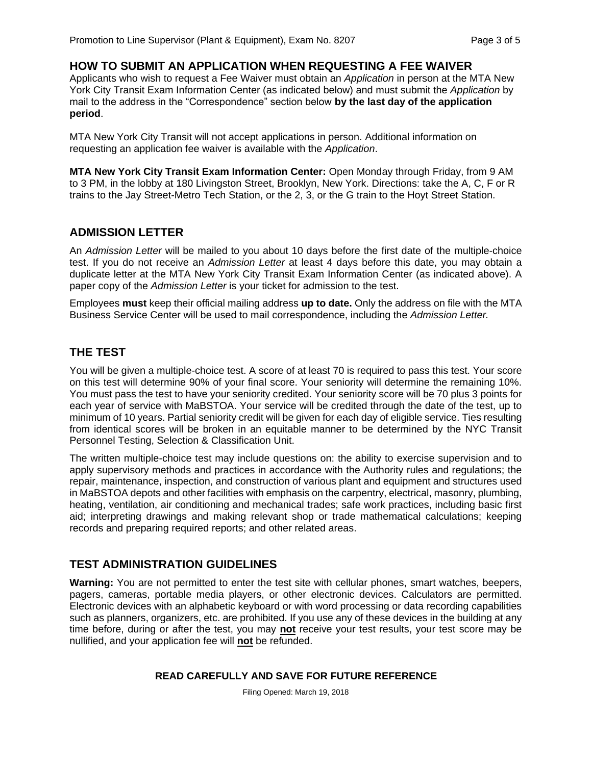## **HOW TO SUBMIT AN APPLICATION WHEN REQUESTING A FEE WAIVER**

Applicants who wish to request a Fee Waiver must obtain an *Application* in person at the MTA New York City Transit Exam Information Center (as indicated below) and must submit the *Application* by mail to the address in the "Correspondence" section below **by the last day of the application period**.

MTA New York City Transit will not accept applications in person. Additional information on requesting an application fee waiver is available with the *Application*.

**MTA New York City Transit Exam Information Center:** Open Monday through Friday, from 9 AM to 3 PM, in the lobby at 180 Livingston Street, Brooklyn, New York. Directions: take the A, C, F or R trains to the Jay Street-Metro Tech Station, or the 2, 3, or the G train to the Hoyt Street Station.

#### **ADMISSION LETTER**

An *Admission Letter* will be mailed to you about 10 days before the first date of the multiple-choice test. If you do not receive an *Admission Letter* at least 4 days before this date, you may obtain a duplicate letter at the MTA New York City Transit Exam Information Center (as indicated above). A paper copy of the *Admission Letter* is your ticket for admission to the test.

Employees **must** keep their official mailing address **up to date.** Only the address on file with the MTA Business Service Center will be used to mail correspondence, including the *Admission Letter.*

### **THE TEST**

You will be given a multiple-choice test. A score of at least 70 is required to pass this test. Your score on this test will determine 90% of your final score. Your seniority will determine the remaining 10%. You must pass the test to have your seniority credited. Your seniority score will be 70 plus 3 points for each year of service with MaBSTOA. Your service will be credited through the date of the test, up to minimum of 10 years. Partial seniority credit will be given for each day of eligible service. Ties resulting from identical scores will be broken in an equitable manner to be determined by the NYC Transit Personnel Testing, Selection & Classification Unit.

The written multiple-choice test may include questions on: the ability to exercise supervision and to apply supervisory methods and practices in accordance with the Authority rules and regulations; the repair, maintenance, inspection, and construction of various plant and equipment and structures used in MaBSTOA depots and other facilities with emphasis on the carpentry, electrical, masonry, plumbing, heating, ventilation, air conditioning and mechanical trades; safe work practices, including basic first aid; interpreting drawings and making relevant shop or trade mathematical calculations; keeping records and preparing required reports; and other related areas.

### **TEST ADMINISTRATION GUIDELINES**

**Warning:** You are not permitted to enter the test site with cellular phones, smart watches, beepers, pagers, cameras, portable media players, or other electronic devices. Calculators are permitted. Electronic devices with an alphabetic keyboard or with word processing or data recording capabilities such as planners, organizers, etc. are prohibited. If you use any of these devices in the building at any time before, during or after the test, you may **not** receive your test results, your test score may be nullified, and your application fee will **not** be refunded.

#### **READ CAREFULLY AND SAVE FOR FUTURE REFERENCE**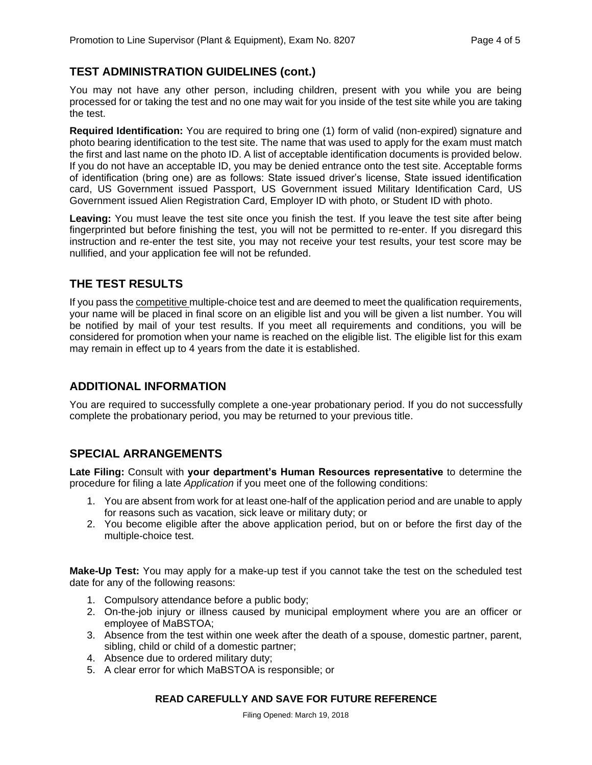# **TEST ADMINISTRATION GUIDELINES (cont.)**

You may not have any other person, including children, present with you while you are being processed for or taking the test and no one may wait for you inside of the test site while you are taking the test.

**Required Identification:** You are required to bring one (1) form of valid (non-expired) signature and photo bearing identification to the test site. The name that was used to apply for the exam must match the first and last name on the photo ID. A list of acceptable identification documents is provided below. If you do not have an acceptable ID, you may be denied entrance onto the test site. Acceptable forms of identification (bring one) are as follows: State issued driver's license, State issued identification card, US Government issued Passport, US Government issued Military Identification Card, US Government issued Alien Registration Card, Employer ID with photo, or Student ID with photo.

**Leaving:** You must leave the test site once you finish the test. If you leave the test site after being fingerprinted but before finishing the test, you will not be permitted to re-enter. If you disregard this instruction and re-enter the test site, you may not receive your test results, your test score may be nullified, and your application fee will not be refunded.

### **THE TEST RESULTS**

If you pass the competitive multiple-choice test and are deemed to meet the qualification requirements, your name will be placed in final score on an eligible list and you will be given a list number. You will be notified by mail of your test results. If you meet all requirements and conditions, you will be considered for promotion when your name is reached on the eligible list. The eligible list for this exam may remain in effect up to 4 years from the date it is established.

## **ADDITIONAL INFORMATION**

You are required to successfully complete a one-year probationary period. If you do not successfully complete the probationary period, you may be returned to your previous title.

### **SPECIAL ARRANGEMENTS**

**Late Filing:** Consult with **your department's Human Resources representative** to determine the procedure for filing a late *Application* if you meet one of the following conditions:

- 1. You are absent from work for at least one-half of the application period and are unable to apply for reasons such as vacation, sick leave or military duty; or
- 2. You become eligible after the above application period, but on or before the first day of the multiple-choice test.

**Make-Up Test:** You may apply for a make-up test if you cannot take the test on the scheduled test date for any of the following reasons:

- 1. Compulsory attendance before a public body;
- 2. On-the-job injury or illness caused by municipal employment where you are an officer or employee of MaBSTOA;
- 3. Absence from the test within one week after the death of a spouse, domestic partner, parent, sibling, child or child of a domestic partner;
- 4. Absence due to ordered military duty;
- 5. A clear error for which MaBSTOA is responsible; or

#### **READ CAREFULLY AND SAVE FOR FUTURE REFERENCE**